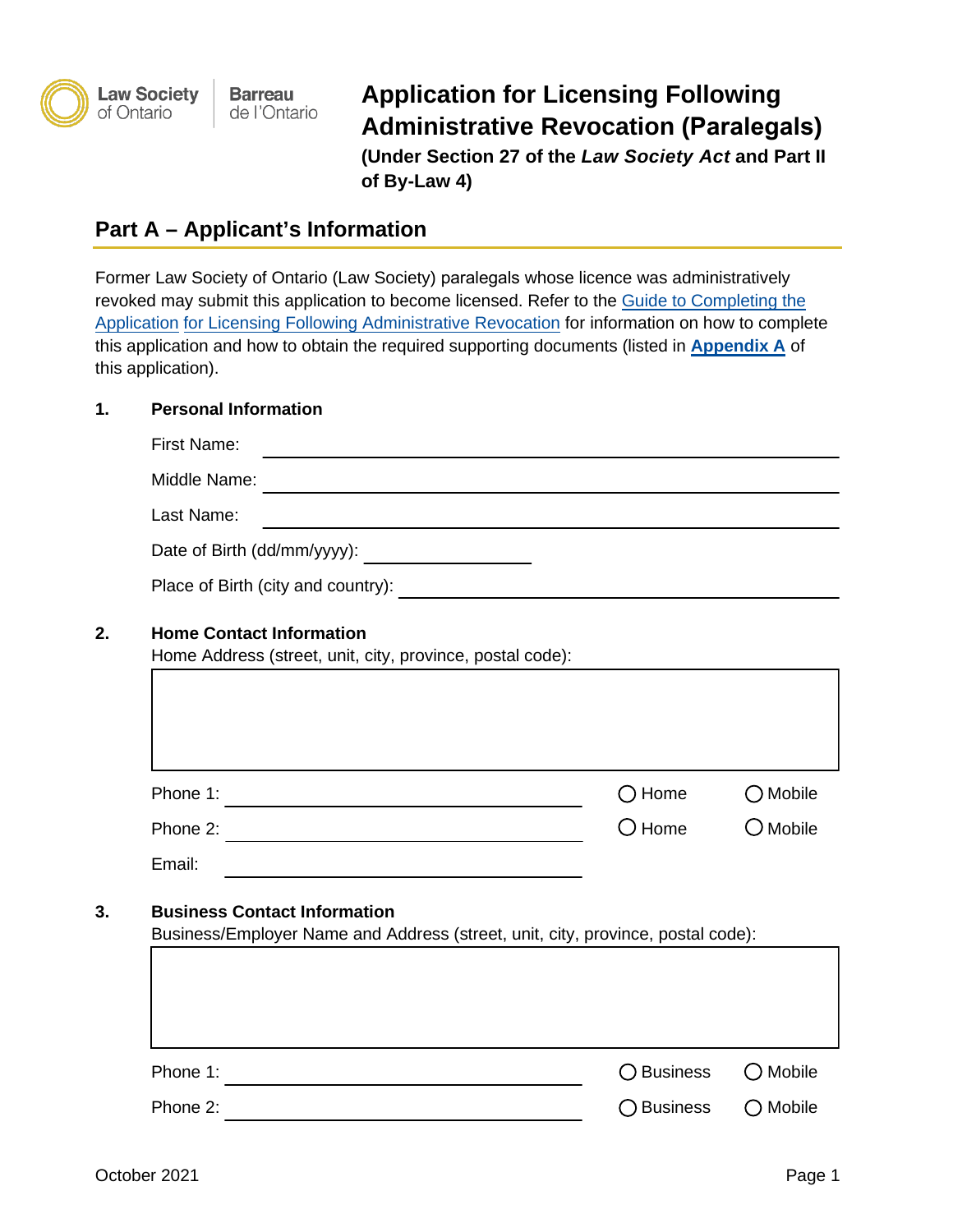

**Application for Licensing Following Administrative Revocation (Paralegals) (Under Section 27 of the** *Law Society Act* **and Part II of By-Law 4)** 

## **Part A – Applicant's Information**

Former Law Society of Ontario (Law Society) paralegals whose licence was administratively revoked may submit this application to become licensed. Refer to the Guide to [Completing the](https://lawsocietyontario.azureedge.net/media/lso/media/paralegal/guide-to-application-for-licensing-following-administrative-revocation-en.pdf)  [Application for Licensing Following Administrative Revocation](https://lawsocietyontario.azureedge.net/media/lso/media/paralegal/guide-to-application-for-licensing-following-administrative-revocation-en.pdf) for information on how to complete this application and how to obtain the required supporting documents (listed in **[Appendix A](#page-10-0)** of this application).

#### **1. Personal Information**

| <b>First Name:</b>                                                                           |                                                                                                                       |                   |
|----------------------------------------------------------------------------------------------|-----------------------------------------------------------------------------------------------------------------------|-------------------|
| Middle Name:                                                                                 | <u> 1989 - Johann Harry Harry Harry Harry Harry Harry Harry Harry Harry Harry Harry Harry Harry Harry Harry Harry</u> |                   |
| Last Name:                                                                                   |                                                                                                                       |                   |
| Date of Birth (dd/mm/yyyy):                                                                  |                                                                                                                       |                   |
|                                                                                              |                                                                                                                       |                   |
| <b>Home Contact Information</b><br>Home Address (street, unit, city, province, postal code): |                                                                                                                       |                   |
|                                                                                              |                                                                                                                       |                   |
|                                                                                              |                                                                                                                       |                   |
| Phone 1:<br><u> 1980 - Johann Barn, mars an t-Amerikaansk politiker (</u>                    | $\bigcap$ Home                                                                                                        | $\bigcirc$ Mobile |
| Phone 2:                                                                                     | $\bigcirc$ Home                                                                                                       | $\bigcirc$ Mobile |
| Email:                                                                                       |                                                                                                                       |                   |
| <b>Business Contact Information</b>                                                          | Business/Employer Name and Address (street, unit, city, province, postal code):                                       |                   |
|                                                                                              |                                                                                                                       |                   |
|                                                                                              |                                                                                                                       |                   |
|                                                                                              |                                                                                                                       |                   |
| Phone 1:                                                                                     | $\bigcirc$ Business                                                                                                   | Mobile            |

Phone 2: **Business** C Mobile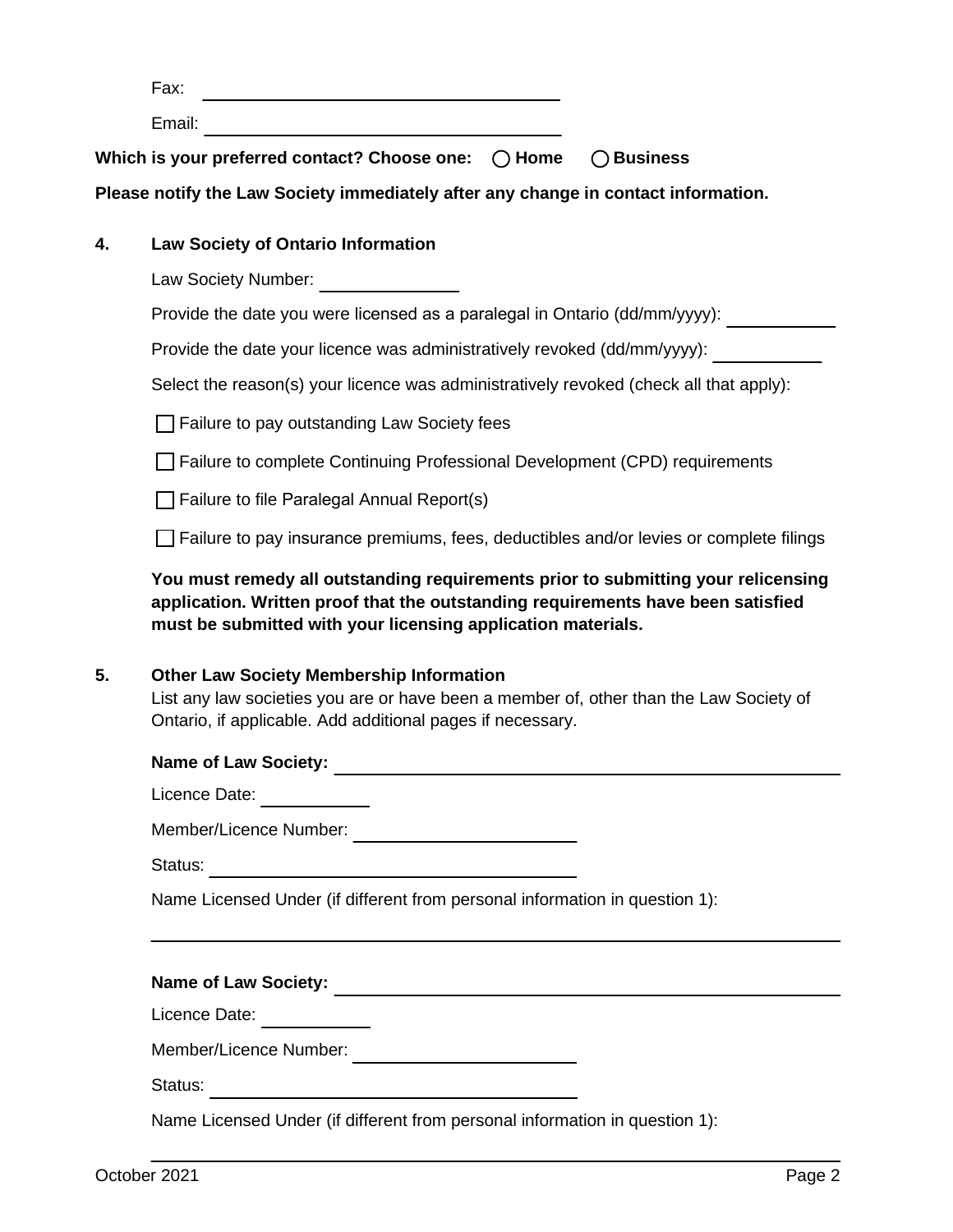| ∵V ⊾ |  |
|------|--|
|      |  |

Email:

**Which is your preferred contact? Choose one:**  $\bigcirc$  Home  $\bigcirc$  Business

**Please notify the Law Society immediately after any change in contact information.**

#### **4. Law Society of Ontario Information**

Law Society Number: \_\_\_\_\_\_\_\_\_\_\_\_\_\_\_\_

Provide the date you were licensed as a paralegal in Ontario (dd/mm/yyyy):

Provide the date your licence was administratively revoked (dd/mm/yyyy):

Select the reason(s) your licence was administratively revoked (check all that apply):

 $\Box$  Failure to pay outstanding Law Society fees

□ Failure to complete Continuing Professional Development (CPD) requirements

 $\Box$  Failure to file Paralegal Annual Report(s)

 $\Box$  Failure to pay insurance premiums, fees, deductibles and/or levies or complete filings

**You must remedy all outstanding requirements prior to submitting your relicensing application. Written proof that the outstanding requirements have been satisfied must be submitted with your licensing application materials.**

#### **5. Other Law Society Membership Information**

List any law societies you are or have been a member of, other than the Law Society of Ontario, if applicable. Add additional pages if necessary.

# **Name of Law Society:**

Licence Date:

Member/Licence Number:

Status:

Name Licensed Under (if different from personal information in question 1):

# **Name of Law Society:**

Licence Date:

Member/Licence Number:

Status:

Name Licensed Under (if different from personal information in question 1):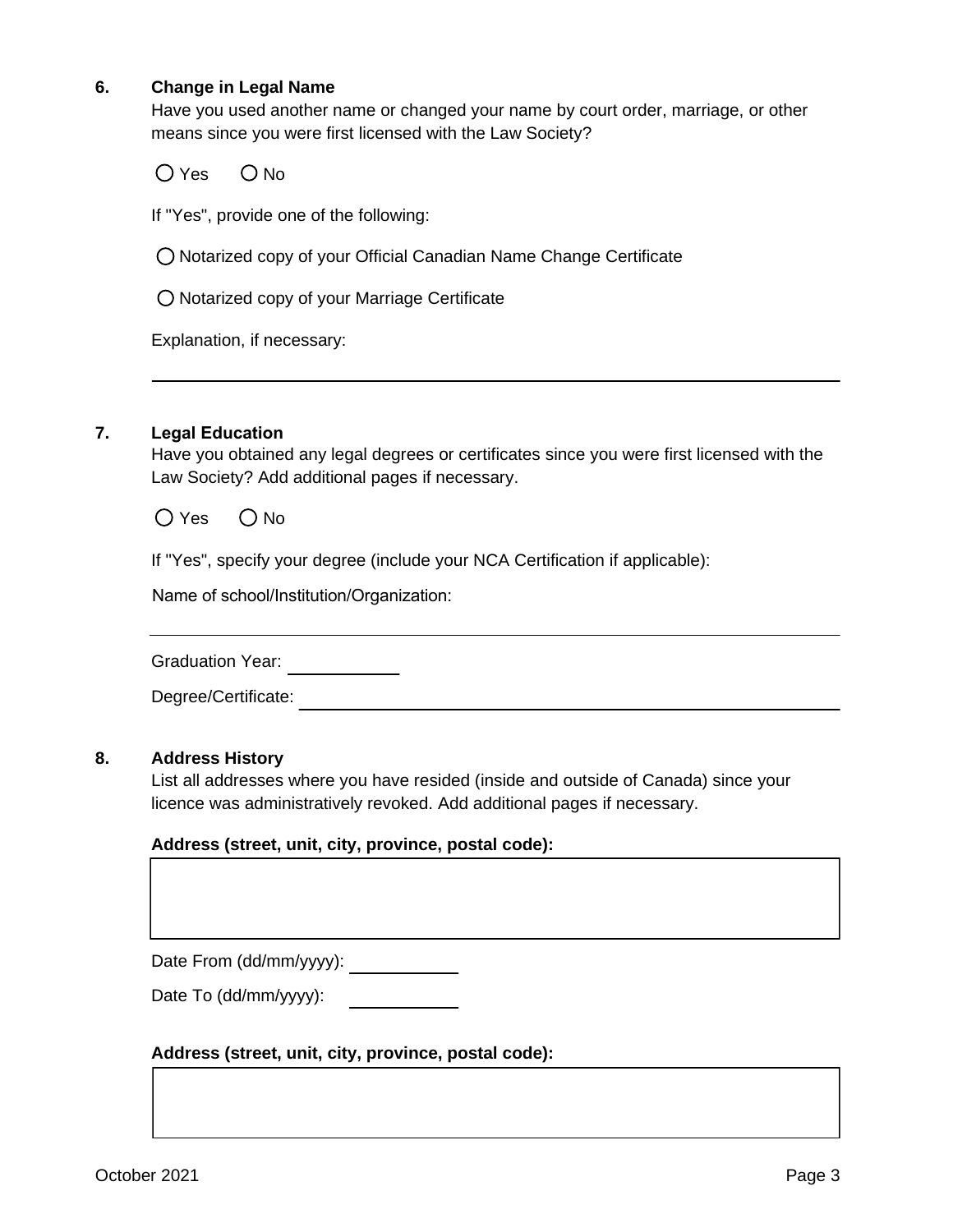#### **6. Change in Legal Name**

Have you used another name or changed your name by court order, marriage, or other means since you were first licensed with the Law Society?

 $O$  Yes  $O$  No

If "Yes", provide one of the following:

Notarized copy of your Official Canadian Name Change Certificate

O Notarized copy of your Marriage Certificate

Explanation, if necessary:

#### **7. Legal Education**

Have you obtained any legal degrees or certificates since you were first licensed with the Law Society? Add additional pages if necessary.

 $O$  Yes  $O$  No

If "Yes", specify your degree (include your NCA Certification if applicable):

Name of school/Institution/Organization:

Graduation Year: **Canadiation** 

Degree/Certificate:

#### **8. Address History**

List all addresses where you have resided (inside and outside of Canada) since your licence was administratively revoked. Add additional pages if necessary.

#### **Address (street, unit, city, province, postal code):**

Date From (dd/mm/yyyy):

Date To (dd/mm/yyyy):

#### **Address (street, unit, city, province, postal code):**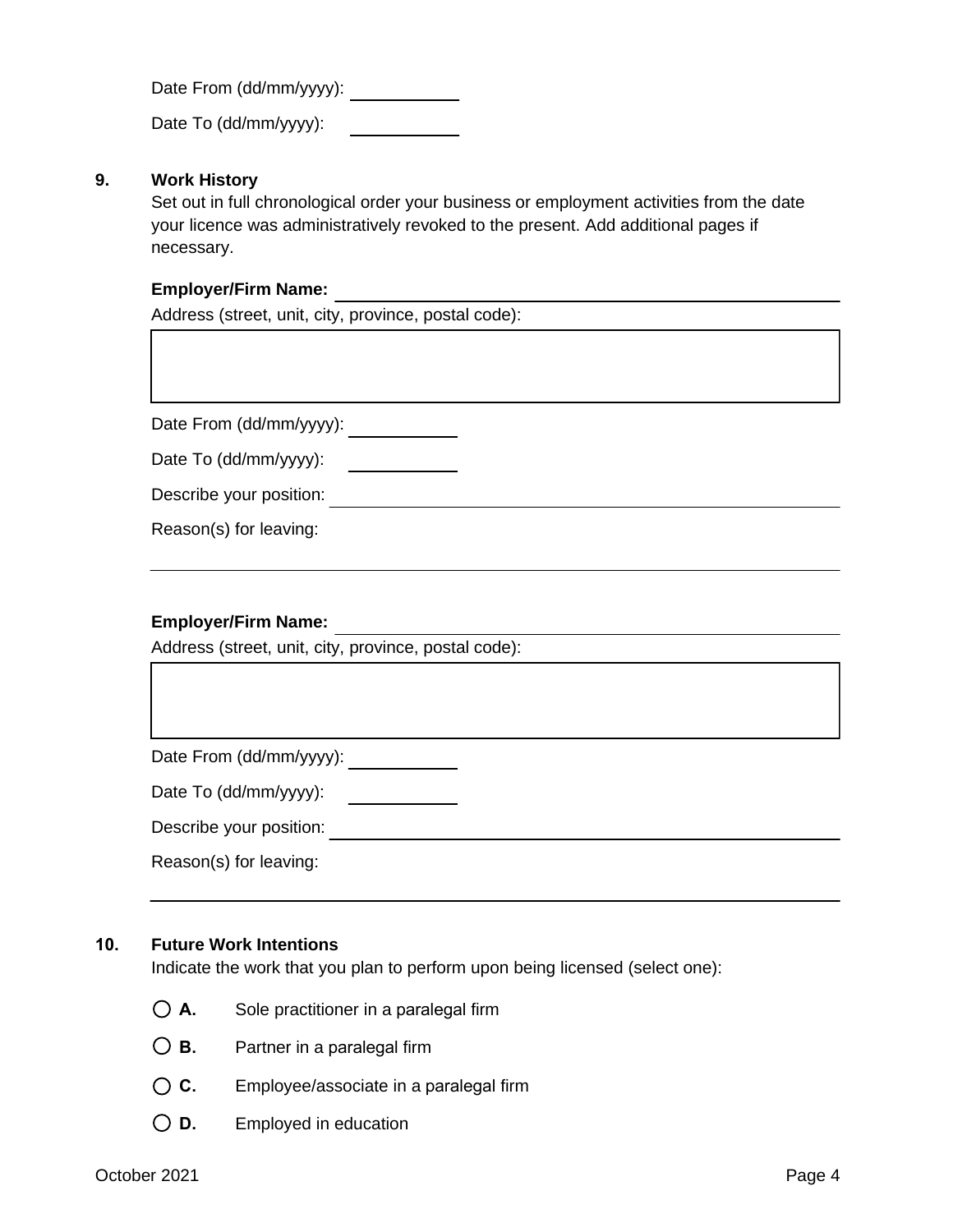Date From (dd/mm/yyyy):

Date To (dd/mm/yyyy):

#### **9. Work History**

Set out in full chronological order your business or employment activities from the date your licence was administratively revoked to the present. Add additional pages if necessary.

#### **Employer/Firm Name:**

Address (street, unit, city, province, postal code):

Date From (dd/mm/yyyy): \_\_\_\_\_\_\_\_\_\_\_\_

|  | Date To (dd/mm/yyyy): |
|--|-----------------------|
|--|-----------------------|

| Describe your position: |  |  |
|-------------------------|--|--|
|-------------------------|--|--|

Reason(s) for leaving:

#### **Employer/Firm Name:**

Address (street, unit, city, province, postal code):

Date From (dd/mm/yyyy): \_\_\_\_\_\_\_\_\_\_\_\_

Date To (dd/mm/yyyy):

Describe your position:

Reason(s) for leaving:

#### **10. Future Work Intentions**

Indicate the work that you plan to perform upon being licensed (select one):

- **A.** Sole practitioner in a paralegal firm
- **B.** Partner in a paralegal firm
- **C.** Employee/associate in a paralegal firm
- **D.** Employed in education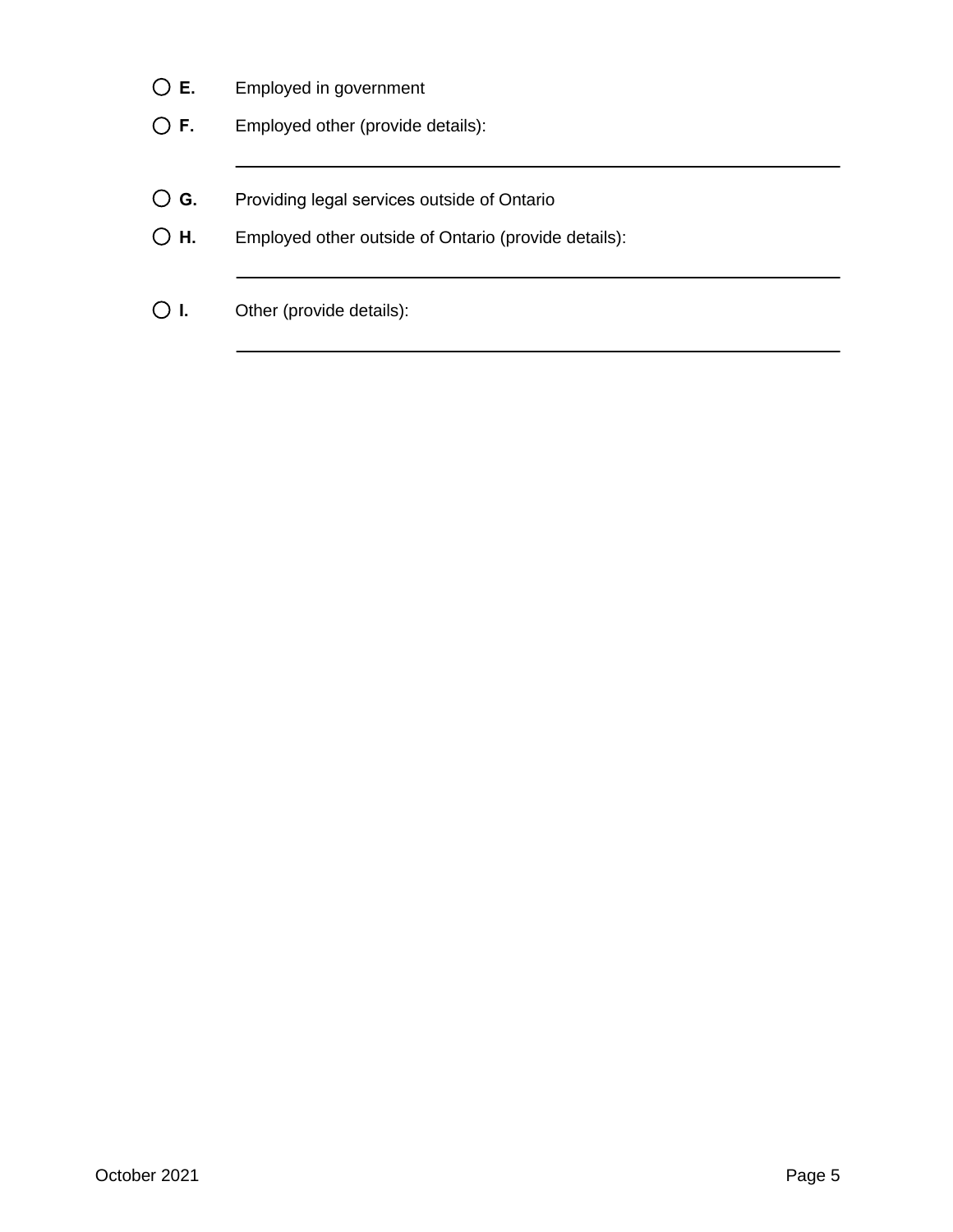- **E.** Employed in government
- **F.** Employed other (provide details):
- **G.** Providing legal services outside of Ontario
- **H.** Employed other outside of Ontario (provide details):
- **I.** Other (provide details):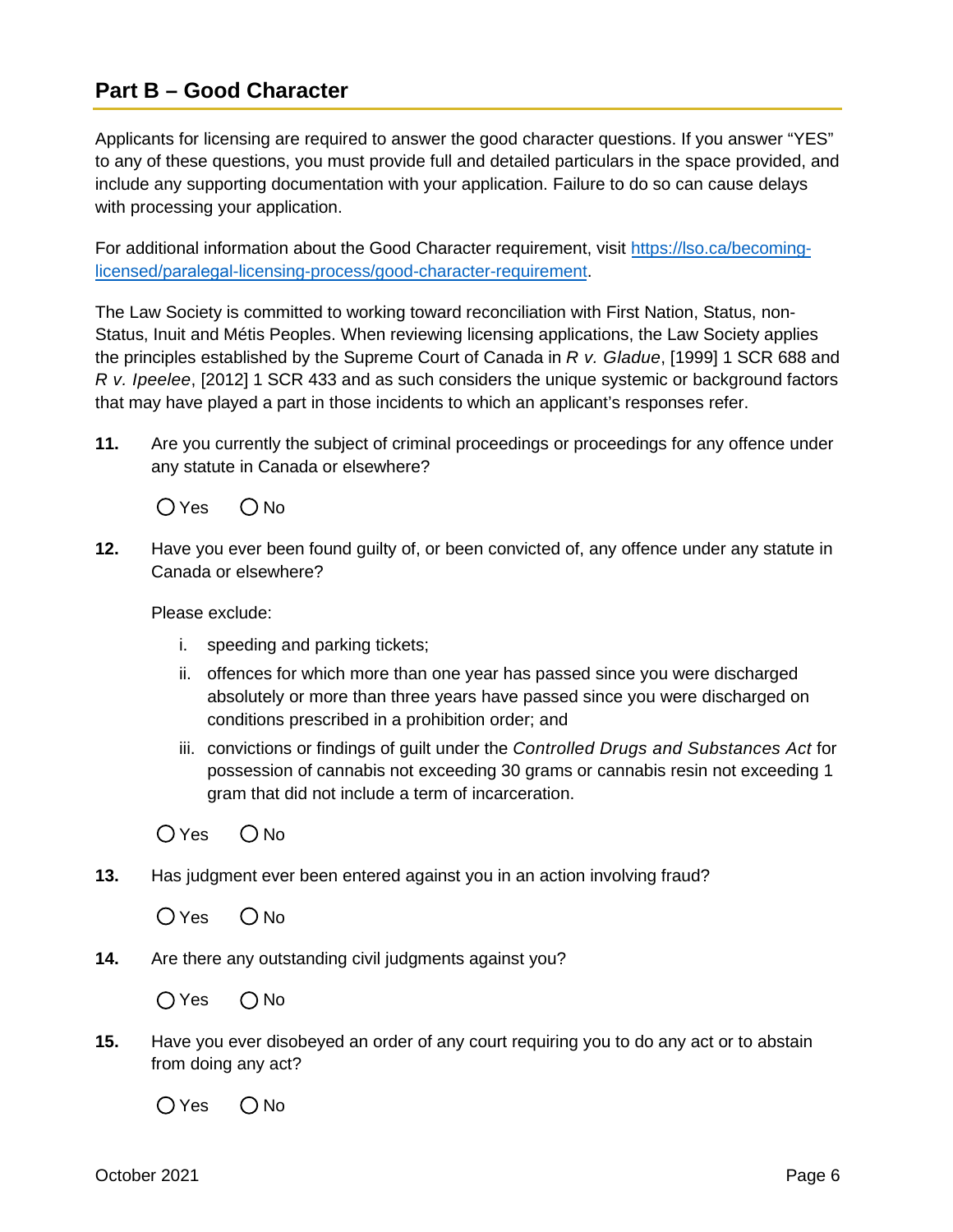### **Part B – Good Character**

Applicants for licensing are required to answer the good character questions. If you answer "YES" to any of these questions, you must provide full and detailed particulars in the space provided, and include any supporting documentation with your application. Failure to do so can cause delays with processing your application.

For additional information about the Good Character requirement, visit [https://lso.ca/becoming](https://lso.ca/becoming-licensed/paralegal-licensing-process/good-character-requirement)licensed/paralegal[-licensing-process/good-character-requirement.](https://lso.ca/becoming-licensed/paralegal-licensing-process/good-character-requirement)

The Law Society is committed to working toward reconciliation with First Nation, Status, non-Status, Inuit and Métis Peoples. When reviewing licensing applications, the Law Society applies the principles established by the Supreme Court of Canada in *R v. Gladue*, [1999] 1 SCR 688 and *R v. Ipeelee*, [2012] 1 SCR 433 and as such considers the unique systemic or background factors that may have played a part in those incidents to which an applicant's responses refer.

**11.** Are you currently the subject of criminal proceedings or proceedings for any offence under any statute in Canada or elsewhere?

 $OYes$   $ONo$ 

**12.** Have you ever been found guilty of, or been convicted of, any offence under any statute in Canada or elsewhere?

Please exclude:

- i. speeding and parking tickets;
- ii. offences for which more than one year has passed since you were discharged absolutely or more than three years have passed since you were discharged on conditions prescribed in a prohibition order; and
- iii. convictions or findings of guilt under the *Controlled Drugs and Substances Act* for possession of cannabis not exceeding 30 grams or cannabis resin not exceeding 1 gram that did not include a term of incarceration.
- $OYes$   $ONo$
- **13.** Has judgment ever been entered against you in an action involving fraud?
	- $OYes$   $ONo$
- **14.** Are there any outstanding civil judgments against you?

 $OYes$   $ONo$ 

**15.** Have you ever disobeyed an order of any court requiring you to do any act or to abstain from doing any act?

 $OYes$   $ONo$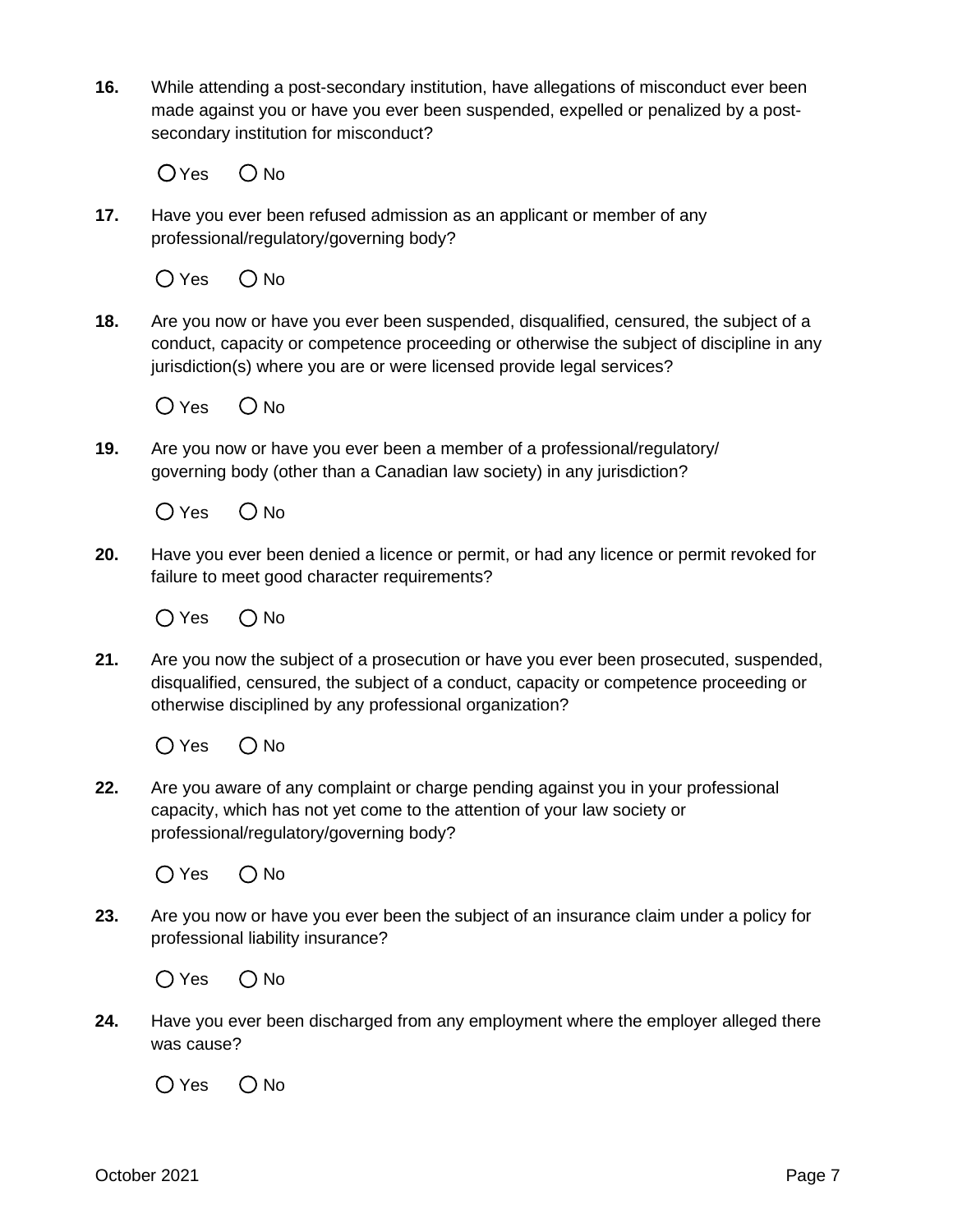**16.** While attending a post-secondary institution, have allegations of misconduct ever been made against you or have you ever been suspended, expelled or penalized by a postsecondary institution for misconduct?

 $OYes$   $ONo$ 

**17.** Have you ever been refused admission as an applicant or member of any professional/regulatory/governing body?

 $O$  Yes  $O$  No

**18.** Are you now or have you ever been suspended, disqualified, censured, the subject of a conduct, capacity or competence proceeding or otherwise the subject of discipline in any jurisdiction(s) where you are or were licensed provide legal services?



**19.** Are you now or have you ever been a member of a professional/regulatory/ governing body (other than a Canadian law society) in any jurisdiction?

 $O$  Yes  $O$  No

**20.** Have you ever been denied a licence or permit, or had any licence or permit revoked for failure to meet good character requirements?

 $O$  Yes  $O$  No

**21.** Are you now the subject of a prosecution or have you ever been prosecuted, suspended, disqualified, censured, the subject of a conduct, capacity or competence proceeding or otherwise disciplined by any professional organization?

 $O$  Yes  $O$  No

**22.** Are you aware of any complaint or charge pending against you in your professional capacity, which has not yet come to the attention of your law society or professional/regulatory/governing body?

 $O$  Yes  $O$  No

**23.** Are you now or have you ever been the subject of an insurance claim under a policy for professional liability insurance?

 $O$  Yes  $O$  No

**24.** Have you ever been discharged from any employment where the employer alleged there was cause?

 $O$  Yes  $O$  No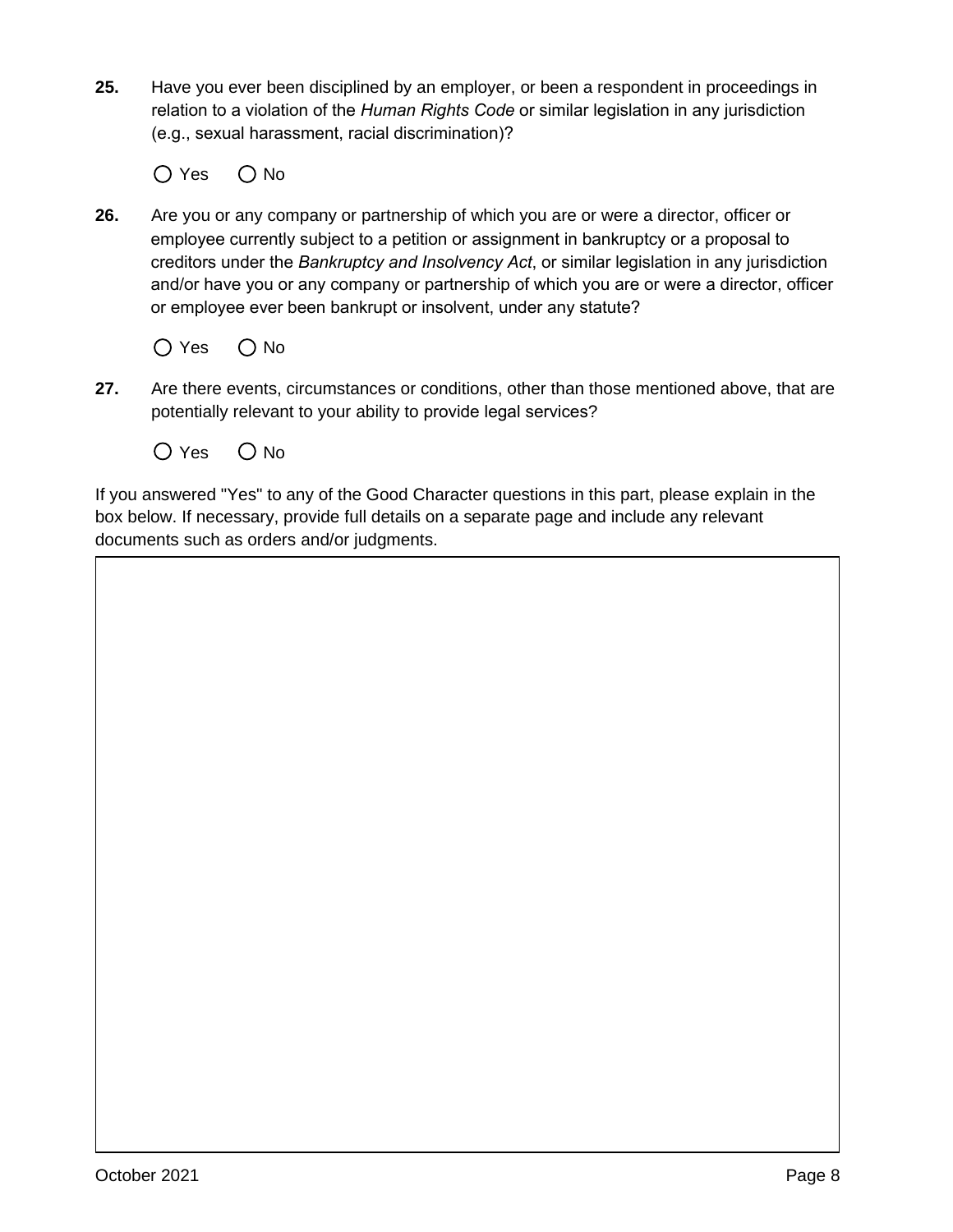**25.** Have you ever been disciplined by an employer, or been a respondent in proceedings in relation to a violation of the *Human Rights Code* or similar legislation in any jurisdiction (e.g., sexual harassment, racial discrimination)?

 $O$  Yes  $O$  No

- **26.** Are you or any company or partnership of which you are or were a director, officer or employee currently subject to a petition or assignment in bankruptcy or a proposal to creditors under the *Bankruptcy and Insolvency Act*, or similar legislation in any jurisdiction and/or have you or any company or partnership of which you are or were a director, officer or employee ever been bankrupt or insolvent, under any statute?
	- $O$  Yes  $O$  No
- **27.** Are there events, circumstances or conditions, other than those mentioned above, that are potentially relevant to your ability to provide legal services?
	- $O$  Yes  $O$  No

If you answered "Yes" to any of the Good Character questions in this part, please explain in the box below. If necessary, provide full details on a separate page and include any relevant documents such as orders and/or judgments.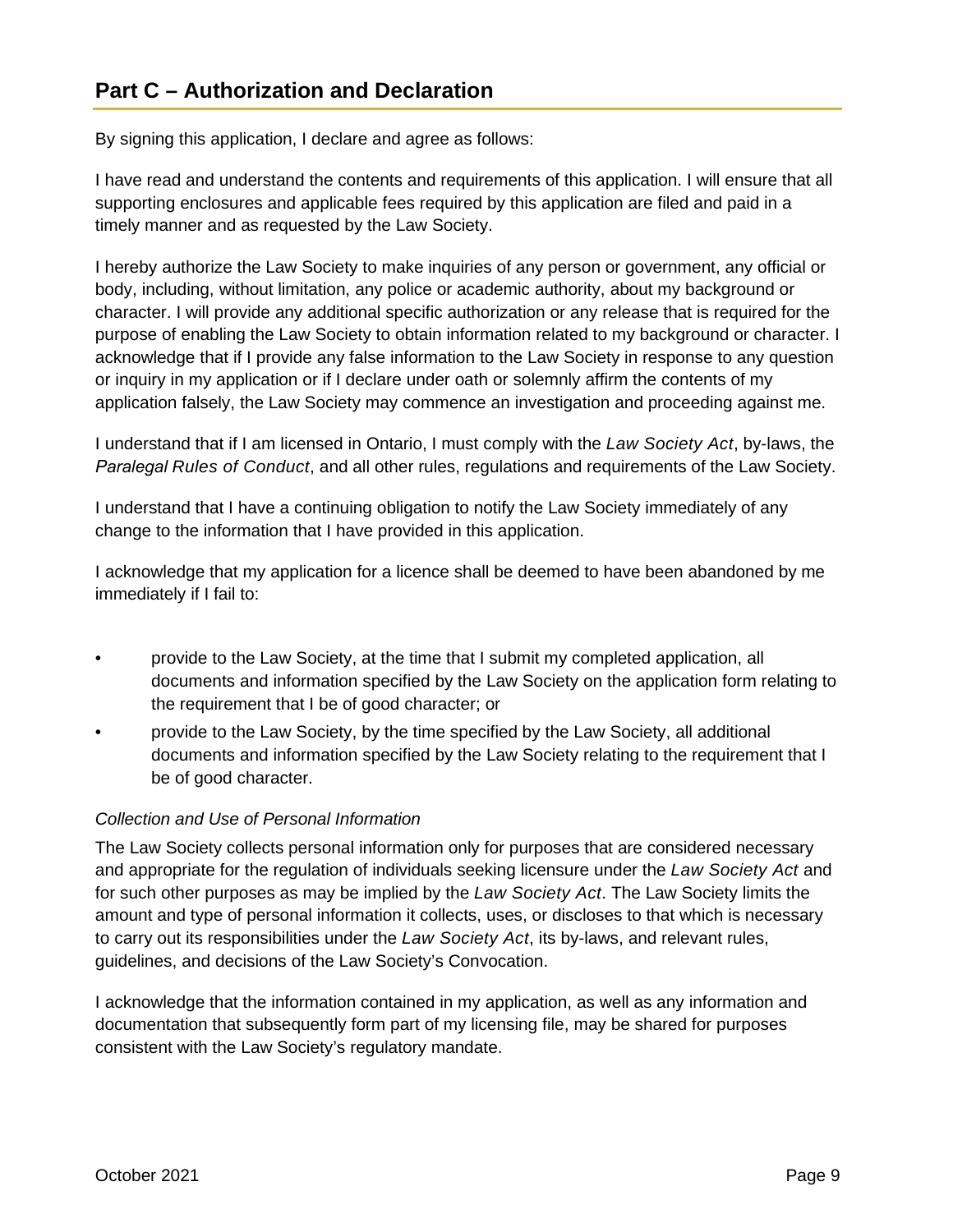By signing this application, I declare and agree as follows:

I have read and understand the contents and requirements of this application. I will ensure that all supporting enclosures and applicable fees required by this application are filed and paid in a timely manner and as requested by the Law Society.

I hereby authorize the Law Society to make inquiries of any person or government, any official or body, including, without limitation, any police or academic authority, about my background or character. I will provide any additional specific authorization or any release that is required for the purpose of enabling the Law Society to obtain information related to my background or character. I acknowledge that if I provide any false information to the Law Society in response to any question or inquiry in my application or if I declare under oath or solemnly affirm the contents of my application falsely, the Law Society may commence an investigation and proceeding against me.

I understand that if I am licensed in Ontario, I must comply with the *Law Society Act*, by-laws, the *Paralegal Rules of Conduct*, and all other rules, regulations and requirements of the Law Society.

I understand that I have a continuing obligation to notify the Law Society immediately of any change to the information that I have provided in this application.

I acknowledge that my application for a licence shall be deemed to have been abandoned by me immediately if I fail to:

- provide to the Law Society, at the time that I submit my completed application, all documents and information specified by the Law Society on the application form relating to the requirement that I be of good character; or
- provide to the Law Society, by the time specified by the Law Society, all additional documents and information specified by the Law Society relating to the requirement that I be of good character.

#### *Collection and Use of Personal Information*

The Law Society collects personal information only for purposes that are considered necessary and appropriate for the regulation of individuals seeking licensure under the *Law Society Act* and for such other purposes as may be implied by the *Law Society Act*. The Law Society limits the amount and type of personal information it collects, uses, or discloses to that which is necessary to carry out its responsibilities under the *Law Society Act*, its by-laws, and relevant rules, guidelines, and decisions of the Law Society's Convocation.

I acknowledge that the information contained in my application, as well as any information and documentation that subsequently form part of my licensing file, may be shared for purposes consistent with the Law Society's regulatory mandate.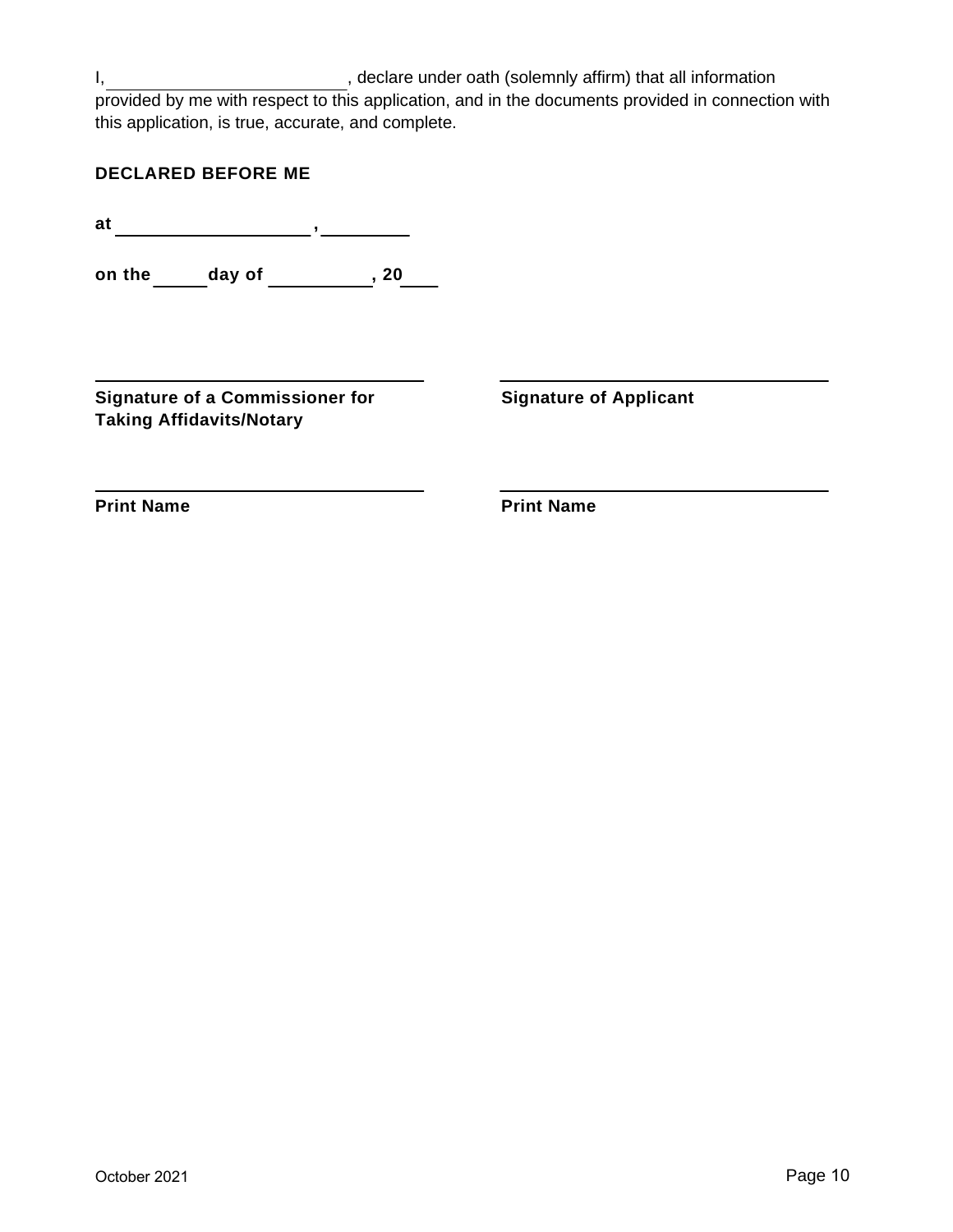I, state of the clare under oath (solemnly affirm) that all information provided by me with respect to this application, and in the documents provided in connection with this application, is true, accurate, and complete.

| <b>DECLARED BEFORE ME</b> |  |  |  |  |  |  |  |  |  |  |  |  |
|---------------------------|--|--|--|--|--|--|--|--|--|--|--|--|
|---------------------------|--|--|--|--|--|--|--|--|--|--|--|--|

**at ,**

**on the \_\_\_\_\_\_ day of \_\_\_\_\_\_\_\_\_\_\_, 20\_\_\_\_** 

**Signature of a Commissioner for Taking Affidavits/Notary**

**Signature of Applicant**

**Print Name**

**Print Name**